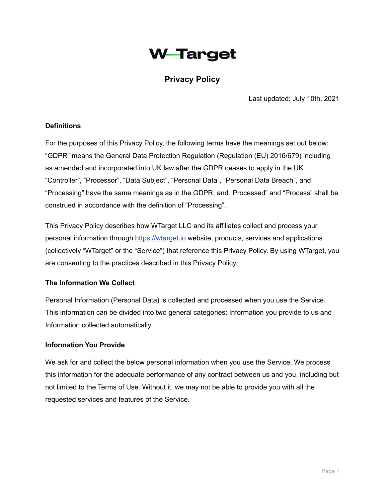# **W-Target**

# **Privacy Policy**

Last updated: July 10th, 2021

#### **Definitions**

For the purposes of this Privacy Policy, the following terms have the meanings set out below: "GDPR" means the General Data Protection Regulation (Regulation (EU) 2016/679) including as amended and incorporated into UK law after the GDPR ceases to apply in the UK. "Controller", "Processor", "Data Subject", "Personal Data", "Personal Data Breach", and "Processing" have the same meanings as in the GDPR, and "Processed" and "Process" shall be construed in accordance with the definition of "Processing".

This Privacy Policy describes how WTarget LLC and its affiliates collect and process your personal information through <https://wtarget.io> website, products, services and applications (collectively "WTarget" or the "Service") that reference this Privacy Policy. By using WTarget, you are consenting to the practices described in this Privacy Policy.

#### **The Information We Collect**

Personal Information (Personal Data) is collected and processed when you use the Service. This information can be divided into two general categories: Information you provide to us and Information collected automatically.

#### **Information You Provide**

We ask for and collect the below personal information when you use the Service. We process this information for the adequate performance of any contract between us and you, including but not limited to the Terms of Use. Without it, we may not be able to provide you with all the requested services and features of the Service.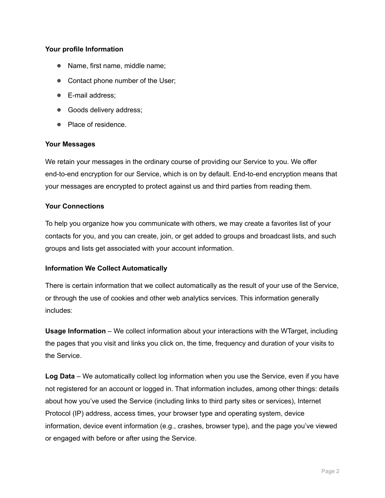#### **Your profile Information**

- **●** Name, first name, middle name;
- **●** Contact phone number of the User;
- **●** E-mail address;
- **●** Goods delivery address;
- **●** Place of residence.

#### **Your Messages**

We retain your messages in the ordinary course of providing our Service to you. We offer end-to-end encryption for our Service, which is on by default. End-to-end encryption means that your messages are encrypted to protect against us and third parties from reading them.

#### **Your Connections**

To help you organize how you communicate with others, we may create a favorites list of your contacts for you, and you can create, join, or get added to groups and broadcast lists, and such groups and lists get associated with your account information.

#### **Information We Collect Automatically**

There is certain information that we collect automatically as the result of your use of the Service, or through the use of cookies and other web analytics services. This information generally includes:

**Usage Information** – We collect information about your interactions with the WTarget, including the pages that you visit and links you click on, the time, frequency and duration of your visits to the Service.

**Log Data** – We automatically collect log information when you use the Service, even if you have not registered for an account or logged in. That information includes, among other things: details about how you've used the Service (including links to third party sites or services), Internet Protocol (IP) address, access times, your browser type and operating system, device information, device event information (e.g., crashes, browser type), and the page you've viewed or engaged with before or after using the Service.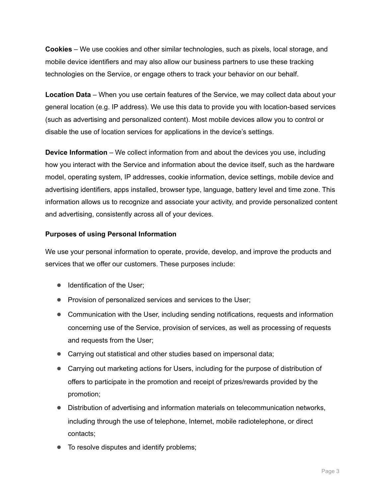**Cookies** – We use cookies and other similar technologies, such as pixels, local storage, and mobile device identifiers and may also allow our business partners to use these tracking technologies on the Service, or engage others to track your behavior on our behalf.

**Location Data** – When you use certain features of the Service, we may collect data about your general location (e.g. IP address). We use this data to provide you with location-based services (such as advertising and personalized content). Most mobile devices allow you to control or disable the use of location services for applications in the device's settings.

**Device Information** – We collect information from and about the devices you use, including how you interact with the Service and information about the device itself, such as the hardware model, operating system, IP addresses, cookie information, device settings, mobile device and advertising identifiers, apps installed, browser type, language, battery level and time zone. This information allows us to recognize and associate your activity, and provide personalized content and advertising, consistently across all of your devices.

#### **Purposes of using Personal Information**

We use your personal information to operate, provide, develop, and improve the products and services that we offer our customers. These purposes include:

- **●** Identification of the User;
- **●** Provision of personalized services and services to the User;
- **●** Communication with the User, including sending notifications, requests and information concerning use of the Service, provision of services, as well as processing of requests and requests from the User;
- **●** Carrying out statistical and other studies based on impersonal data;
- **●** Carrying out marketing actions for Users, including for the purpose of distribution of offers to participate in the promotion and receipt of prizes/rewards provided by the promotion;
- **●** Distribution of advertising and information materials on telecommunication networks, including through the use of telephone, Internet, mobile radiotelephone, or direct contacts;
- **●** To resolve disputes and identify problems;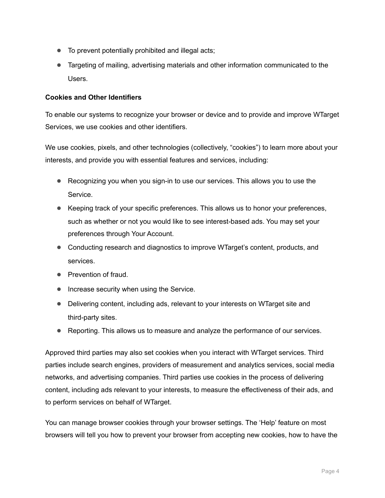- **●** To prevent potentially prohibited and illegal acts;
- **●** Targeting of mailing, advertising materials and other information communicated to the Users.

#### **Cookies and Other Identifiers**

To enable our systems to recognize your browser or device and to provide and improve WTarget Services, we use cookies and other identifiers.

We use cookies, pixels, and other technologies (collectively, "cookies") to learn more about your interests, and provide you with essential features and services, including:

- **●** Recognizing you when you sign-in to use our services. This allows you to use the Service.
- **●** Keeping track of your specific preferences. This allows us to honor your preferences, such as whether or not you would like to see interest-based ads. You may set your preferences through Your Account.
- **●** Conducting research and diagnostics to improve WTarget's content, products, and services.
- **●** Prevention of fraud.
- **●** Increase security when using the Service.
- **●** Delivering content, including ads, relevant to your interests on WTarget site and third-party sites.
- **●** Reporting. This allows us to measure and analyze the performance of our services.

Approved third parties may also set cookies when you interact with WTarget services. Third parties include search engines, providers of measurement and analytics services, social media networks, and advertising companies. Third parties use cookies in the process of delivering content, including ads relevant to your interests, to measure the effectiveness of their ads, and to perform services on behalf of WTarget.

You can manage browser cookies through your browser settings. The 'Help' feature on most browsers will tell you how to prevent your browser from accepting new cookies, how to have the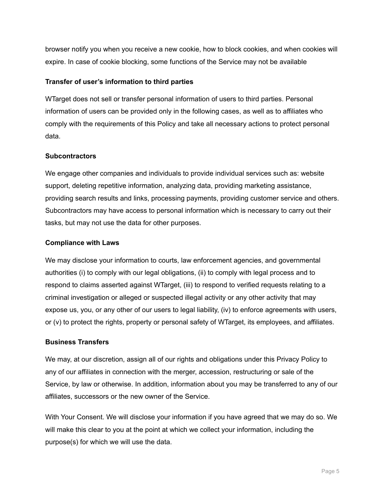browser notify you when you receive a new cookie, how to block cookies, and when cookies will expire. In case of cookie blocking, some functions of the Service may not be available

#### **Transfer of user's information to third parties**

WTarget does not sell or transfer personal information of users to third parties. Personal information of users can be provided only in the following cases, as well as to affiliates who comply with the requirements of this Policy and take all necessary actions to protect personal data.

#### **Subcontractors**

We engage other companies and individuals to provide individual services such as: website support, deleting repetitive information, analyzing data, providing marketing assistance, providing search results and links, processing payments, providing customer service and others. Subcontractors may have access to personal information which is necessary to carry out their tasks, but may not use the data for other purposes.

#### **Compliance with Laws**

We may disclose your information to courts, law enforcement agencies, and governmental authorities (i) to comply with our legal obligations, (ii) to comply with legal process and to respond to claims asserted against WTarget, (iii) to respond to verified requests relating to a criminal investigation or alleged or suspected illegal activity or any other activity that may expose us, you, or any other of our users to legal liability, (iv) to enforce agreements with users, or (v) to protect the rights, property or personal safety of WTarget, its employees, and affiliates.

## **Business Transfers**

We may, at our discretion, assign all of our rights and obligations under this Privacy Policy to any of our affiliates in connection with the merger, accession, restructuring or sale of the Service, by law or otherwise. In addition, information about you may be transferred to any of our affiliates, successors or the new owner of the Service.

With Your Consent. We will disclose your information if you have agreed that we may do so. We will make this clear to you at the point at which we collect your information, including the purpose(s) for which we will use the data.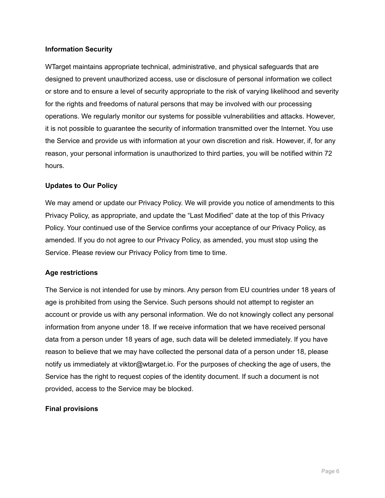#### **Information Security**

WTarget maintains appropriate technical, administrative, and physical safeguards that are designed to prevent unauthorized access, use or disclosure of personal information we collect or store and to ensure a level of security appropriate to the risk of varying likelihood and severity for the rights and freedoms of natural persons that may be involved with our processing operations. We regularly monitor our systems for possible vulnerabilities and attacks. However, it is not possible to guarantee the security of information transmitted over the Internet. You use the Service and provide us with information at your own discretion and risk. However, if, for any reason, your personal information is unauthorized to third parties, you will be notified within 72 hours.

#### **Updates to Our Policy**

We may amend or update our Privacy Policy. We will provide you notice of amendments to this Privacy Policy, as appropriate, and update the "Last Modified" date at the top of this Privacy Policy. Your continued use of the Service confirms your acceptance of our Privacy Policy, as amended. If you do not agree to our Privacy Policy, as amended, you must stop using the Service. Please review our Privacy Policy from time to time.

#### **Age restrictions**

The Service is not intended for use by minors. Any person from EU countries under 18 years of age is prohibited from using the Service. Such persons should not attempt to register an account or provide us with any personal information. We do not knowingly collect any personal information from anyone under 18. If we receive information that we have received personal data from a person under 18 years of age, such data will be deleted immediately. If you have reason to believe that we may have collected the personal data of a person under 18, please notify us immediately at viktor@wtarget.io. For the purposes of checking the age of users, the Service has the right to request copies of the identity document. If such a document is not provided, access to the Service may be blocked.

#### **Final provisions**